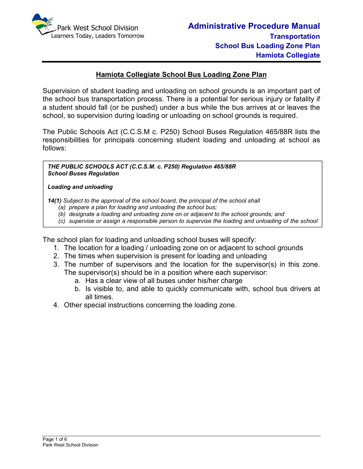

## **Hamiota Collegiate School Bus Loading Zone Plan**

Supervision of student loading and unloading on school grounds is an important part of the school bus transportation process. There is a potential for serious injury or fatality if a student should fall (or be pushed) under a bus while the bus arrives at or leaves the school, so supervision during loading or unloading on school grounds is required.

The Public Schools Act (C.C.S.M c. P250) School Buses Regulation 465/88R lists the responsibilities for principals concerning student loading and unloading at school as follows:

*THE PUBLIC SCHOOLS ACT (C.C.S.M. c. P250) Regulation 465/88R School Buses Regulation* 

#### *Loading and unloading*

*bus.*

*14(1) Subject to the approval of the school board, the principal of the school shall* 

- *(a) prepare a plan for loading and unloading the school bus;*
- *(b) designate a loading and unloading zone on or adjacent to the school grounds; and*
- *(c) supervise or assign a responsible person to supervise the loading and unloading of the school*

The school plan for loading and unloading school buses will specify:

- 1. The location for a loading / unloading zone on or adjacent to school grounds
- 2. The times when supervision is present for loading and unloading
- 3. The number of supervisors and the location for the supervisor(s) in this zone. The supervisor(s) should be in a position where each supervisor:
	- a. Has a clear view of all buses under his/her charge
	- b. Is visible to, and able to quickly communicate with, school bus drivers at all times.
- 4. Other special instructions concerning the loading zone.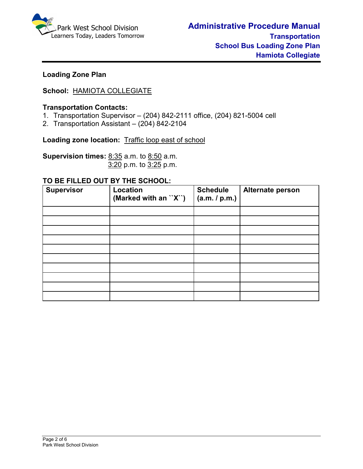

# **Loading Zone Plan**

# **School:** HAMIOTA COLLEGIATE

### **Transportation Contacts:**

- 1. Transportation Supervisor (204) 842-2111 office, (204) 821-5004 cell
- 2. Transportation Assistant (204) 842-2104

Loading zone location: Traffic loop east of school

**Supervision times:** 8:35 a.m. to 8:50 a.m.3:20 p.m. to 3:25 p.m.

#### **TO BE FILLED OUT BY THE SCHOOL:**

| <b>Supervisor</b> | <b>Location</b><br>(Marked with an "X") | <b>Schedule</b><br>(a.m. / p.m.) | Alternate person |
|-------------------|-----------------------------------------|----------------------------------|------------------|
|                   |                                         |                                  |                  |
|                   |                                         |                                  |                  |
|                   |                                         |                                  |                  |
|                   |                                         |                                  |                  |
|                   |                                         |                                  |                  |
|                   |                                         |                                  |                  |
|                   |                                         |                                  |                  |
|                   |                                         |                                  |                  |
|                   |                                         |                                  |                  |
|                   |                                         |                                  |                  |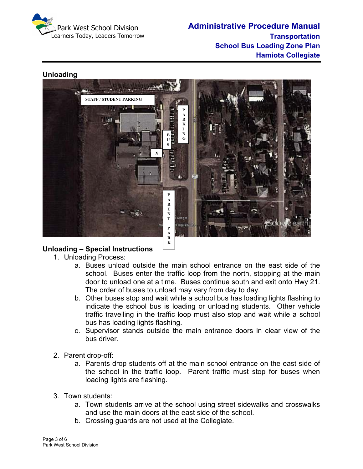





# **Unloading – Special Instructions**

- 1. Unloading Process:
	- a. Buses unload outside the main school entrance on the east side of the school. Buses enter the traffic loop from the north, stopping at the main door to unload one at a time. Buses continue south and exit onto Hwy 21. The order of buses to unload may vary from day to day.
	- b. Other buses stop and wait while a school bus has loading lights flashing to indicate the school bus is loading or unloading students. Other vehicle traffic travelling in the traffic loop must also stop and wait while a school bus has loading lights flashing.
	- c. Supervisor stands outside the main entrance doors in clear view of the bus driver.
- 2. Parent drop-off:
	- a. Parents drop students off at the main school entrance on the east side of the school in the traffic loop. Parent traffic must stop for buses when loading lights are flashing.
- 3. Town students:
	- a. Town students arrive at the school using street sidewalks and crosswalks and use the main doors at the east side of the school.
	- b. Crossing guards are not used at the Collegiate.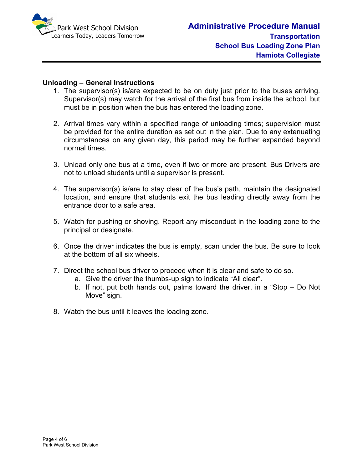

#### **Unloading – General Instructions**

- 1. The supervisor(s) is/are expected to be on duty just prior to the buses arriving. Supervisor(s) may watch for the arrival of the first bus from inside the school, but must be in position when the bus has entered the loading zone.
- 2. Arrival times vary within a specified range of unloading times; supervision must be provided for the entire duration as set out in the plan. Due to any extenuating circumstances on any given day, this period may be further expanded beyond normal times.
- 3. Unload only one bus at a time, even if two or more are present. Bus Drivers are not to unload students until a supervisor is present.
- 4. The supervisor(s) is/are to stay clear of the bus's path, maintain the designated location, and ensure that students exit the bus leading directly away from the entrance door to a safe area.
- 5. Watch for pushing or shoving. Report any misconduct in the loading zone to the principal or designate.
- 6. Once the driver indicates the bus is empty, scan under the bus. Be sure to look at the bottom of all six wheels.
- 7. Direct the school bus driver to proceed when it is clear and safe to do so.
	- a. Give the driver the thumbs-up sign to indicate "All clear".
	- b. If not, put both hands out, palms toward the driver, in a "Stop Do Not Move" sign.
- 8. Watch the bus until it leaves the loading zone.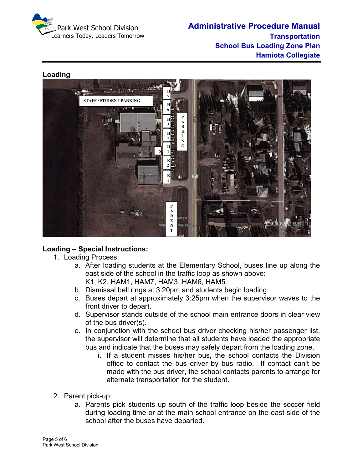



### **Loading – Special Instructions:**

- 1. Loading Process:
	- a. After loading students at the Elementary School, buses line up along the east side of the school in the traffic loop as shown above:
		- K1, K2, HAM1, HAM7, HAM3, HAM6, HAM5
	- b. Dismissal bell rings at 3:20pm and students begin loading.
	- c. Buses depart at approximately 3:25pm when the supervisor waves to the front driver to depart.
	- d. Supervisor stands outside of the school main entrance doors in clear view of the bus driver(s).
	- e. In conjunction with the school bus driver checking his/her passenger list, the supervisor will determine that all students have loaded the appropriate bus and indicate that the buses may safely depart from the loading zone.
		- i. If a student misses his/her bus, the school contacts the Division office to contact the bus driver by bus radio. If contact can't be made with the bus driver, the school contacts parents to arrange for alternate transportation for the student.
- 2. Parent pick-up:
	- a. Parents pick students up south of the traffic loop beside the soccer field during loading time or at the main school entrance on the east side of the school after the buses have departed.